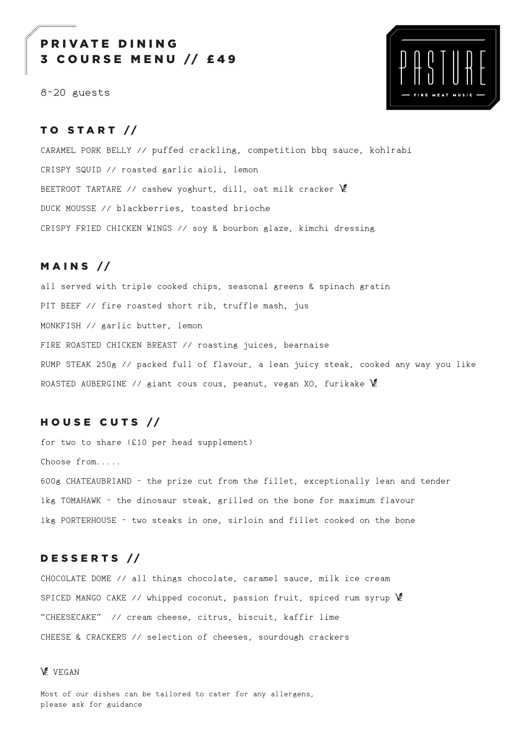# PRIVATE DINING COURSE MENU // £49

8-20 guests



## TO START //

CARAMEL PORK BELLY // puffed crackling, competition bbq sauce, kohlrabi CRISPY SQUID // roasted garlic aioli, lemon BEETROOT TARTARE // cashew yoghurt, dill, oat milk cracker VE DUCK MOUSSE // blackberries, toasted brioche CRISPY FRIED CHICKEN WINGS // soy & bourbon glaze, kimchi dressing

### $M$  A I N S //

all served with triple cooked chips, seasonal greens & spinach gratin PIT BEEF // fire roasted short rib, truffle mash, jus MONKFISH // garlic butter, lemon FIRE ROASTED CHICKEN BREAST // roasting juices, bearnaise RUMP STEAK 250g // packed full of flavour, a lean juicy steak, cooked any way you like ROASTED AUBERGINE // giant cous cous, peanut, vegan XO, furikake  $\mathscr X$ 

## HOUSE CUTS //

for two to share (£10 per head supplement) Choose from..... 600g CHATEAUBRIAND - the prize cut from the fillet, exceptionally lean and tender 1kg TOMAHAWK - the dinosaur steak, grilled on the bone for maximum flavour 1kg PORTERHOUSE - two steaks in one, sirloin and fillet cooked on the bone

#### D E S S E R T S //

CHOCOLATE DOME // all things chocolate, caramel sauce, milk ice cream SPICED MANGO CAKE // whipped coconut, passion fruit, spiced rum syrup  $\mathscr K$ "CHEESECAKE" // cream cheese, citrus, biscuit, kaffir lime CHEESE & CRACKERS // selection of cheeses, sourdough crackers

#### **VEGAN**

Most of our dishes can be tailored to cater for any allergens, please ask for guidance